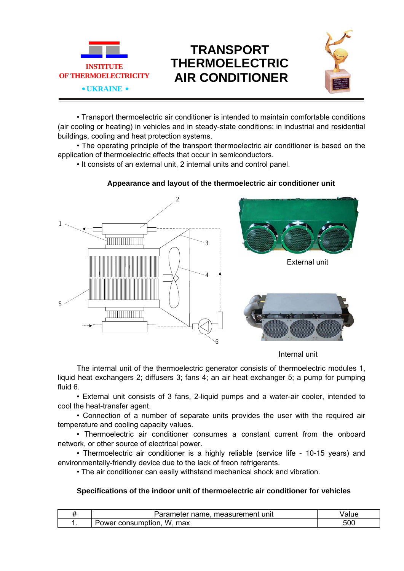

## **TRANSPORT THERMOELECTRIC AIR CONDITIONER**



• Transport thermoelectric air conditioner is intended to maintain comfortable conditions (air cooling or heating) in vehicles and in steady-state conditions: in industrial and residential buildings, cooling and heat protection systems.

• The operating principle of the transport thermoelectric air conditioner is based on the application of thermoelectric effects that occur in semiconductors.

• It consists of an external unit, 2 internal units and control panel.



## **Appearance and layout of the thermoelectric air conditioner unit**

Internal unit

The internal unit of the thermoelectric generator consists of thermoelectric modules 1, liquid heat exchangers 2; diffusers 3; fans 4; an air heat exchanger 5; a pump for pumping fluid 6.

• External unit consists of 3 fans, 2-liquid pumps and a water-air cooler, intended to cool the heat-transfer agent.

• Connection of a number of separate units provides the user with the required air temperature and cooling capacity values.

• Thermoelectric air conditioner consumes a constant current from the onboard network, or other source of electrical power.

• Thermoelectric air conditioner is a highly reliable (service life - 10-15 years) and environmentally-friendly device due to the lack of freon refrigerants.

• The air conditioner can easily withstand mechanical shock and vibration.

## **Specifications of the indoor unit of thermoelectric air conditioner for vehicles**

| -----<br>unit<br>me<br>пен<br>. He<br>meter<br>ı ıaı<br>ு. எவ |                   |
|---------------------------------------------------------------|-------------------|
| w<br>max<br>$\cdots$<br>.<br>.)wer<br>:onsum<br>оног<br>.     | - ^ ^<br>-<br>טטט |